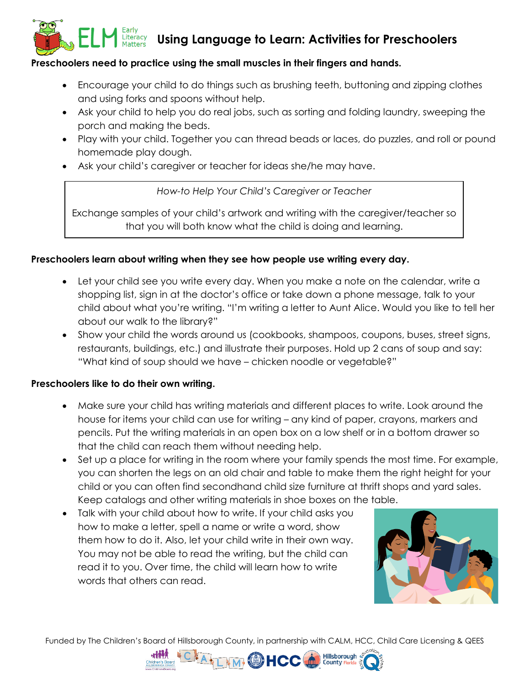## **Using Language to Learn: Activities for Preschoolers**

### **Preschoolers need to practice using the small muscles in their fingers and hands.**

- Encourage your child to do things such as brushing teeth, buttoning and zipping clothes and using forks and spoons without help.
- Ask your child to help you do real jobs, such as sorting and folding laundry, sweeping the porch and making the beds.
- Play with your child. Together you can thread beads or laces, do puzzles, and roll or pound homemade play dough.
- Ask your child's caregiver or teacher for ideas she/he may have.

*How-to Help Your Child's Caregiver or Teacher*

Exchange samples of your child's artwork and writing with the caregiver/teacher so that you will both know what the child is doing and learning.

### **Preschoolers learn about writing when they see how people use writing every day.**

- Let your child see you write every day. When you make a note on the calendar, write a shopping list, sign in at the doctor's office or take down a phone message, talk to your child about what you're writing. "I'm writing a letter to Aunt Alice. Would you like to tell her about our walk to the library?"
- Show your child the words around us (cookbooks, shampoos, coupons, buses, street signs, restaurants, buildings, etc.) and illustrate their purposes. Hold up 2 cans of soup and say: "What kind of soup should we have – chicken noodle or vegetable?"

### **Preschoolers like to do their own writing.**

Literacy<br>Matters

- Make sure your child has writing materials and different places to write. Look around the house for items your child can use for writing – any kind of paper, crayons, markers and pencils. Put the writing materials in an open box on a low shelf or in a bottom drawer so that the child can reach them without needing help.
- Set up a place for writing in the room where your family spends the most time. For example, you can shorten the legs on an old chair and table to make them the right height for your child or you can often find secondhand child size furniture at thrift shops and yard sales. Keep catalogs and other writing materials in shoe boxes on the table.
- Talk with your child about how to write. If your child asks you how to make a letter, spell a name or write a word, show them how to do it. Also, let your child write in their own way. You may not be able to read the writing, but the child can read it to you. Over time, the child will learn how to write words that others can read.



Funded by The Children's Board of Hillsborough County, in partnership with CALM, HCC, Child Care Licensing & QEES